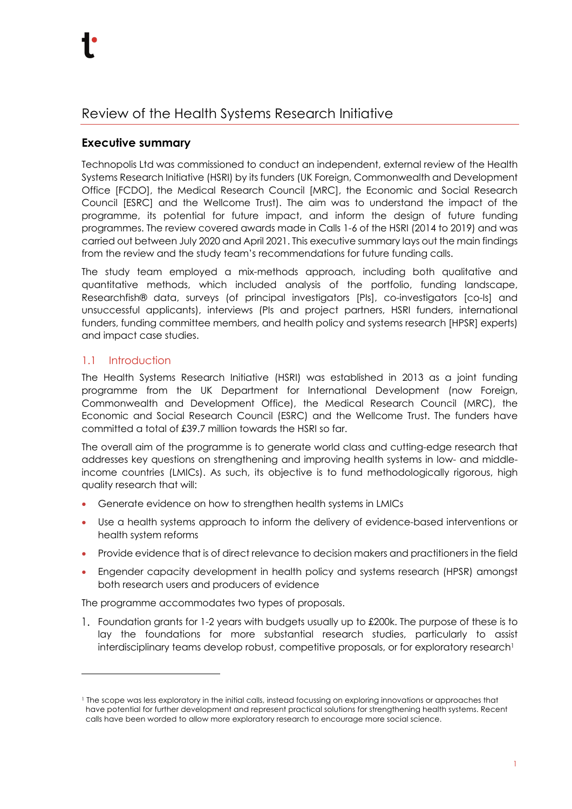# Review of the Health Systems Research Initiative

## **Executive summary**

Technopolis Ltd was commissioned to conduct an independent, external review of the Health Systems Research Initiative (HSRI) by its funders (UK Foreign, Commonwealth and Development Office [FCDO], the Medical Research Council [MRC], the Economic and Social Research Council [ESRC] and the Wellcome Trust). The aim was to understand the impact of the programme, its potential for future impact, and inform the design of future funding programmes. The review covered awards made in Calls 1-6 of the HSRI (2014 to 2019) and was carried out between July 2020 and April 2021. This executive summary lays out the main findings from the review and the study team's recommendations for future funding calls.

The study team employed a mix-methods approach, including both qualitative and quantitative methods, which included analysis of the portfolio, funding landscape, Researchfish® data, surveys (of principal investigators [PIs], co-investigators [co-Is] and unsuccessful applicants), interviews (PIs and project partners, HSRI funders, international funders, funding committee members, and health policy and systems research [HPSR] experts) and impact case studies.

## 1.1 Introduction

The Health Systems Research Initiative (HSRI) was established in 2013 as a joint funding programme from the UK Department for International Development (now Foreign, Commonwealth and Development Office), the Medical Research Council (MRC), the Economic and Social Research Council (ESRC) and the Wellcome Trust. The funders have committed a total of £39.7 million towards the HSRI so far.

The overall aim of the programme is to generate world class and cutting-edge research that addresses key questions on strengthening and improving health systems in low- and middleincome countries (LMICs). As such, its objective is to fund methodologically rigorous, high quality research that will:

- Generate evidence on how to strengthen health systems in LMICs
- Use a health systems approach to inform the delivery of evidence-based interventions or health system reforms
- Provide evidence that is of direct relevance to decision makers and practitioners in the field
- Engender capacity development in health policy and systems research (HPSR) amongst both research users and producers of evidence

The programme accommodates two types of proposals.

1. Foundation grants for 1-2 years with budgets usually up to £200k. The purpose of these is to lay the foundations for more substantial research studies, particularly to assist interdisciplinary teams develop robust, competitive proposals, or for exploratory research<sup>1</sup>

<sup>1</sup> The scope was less exploratory in the initial calls, instead focussing on exploring innovations or approaches that have potential for further development and represent practical solutions for strengthening health systems. Recent calls have been worded to allow more exploratory research to encourage more social science.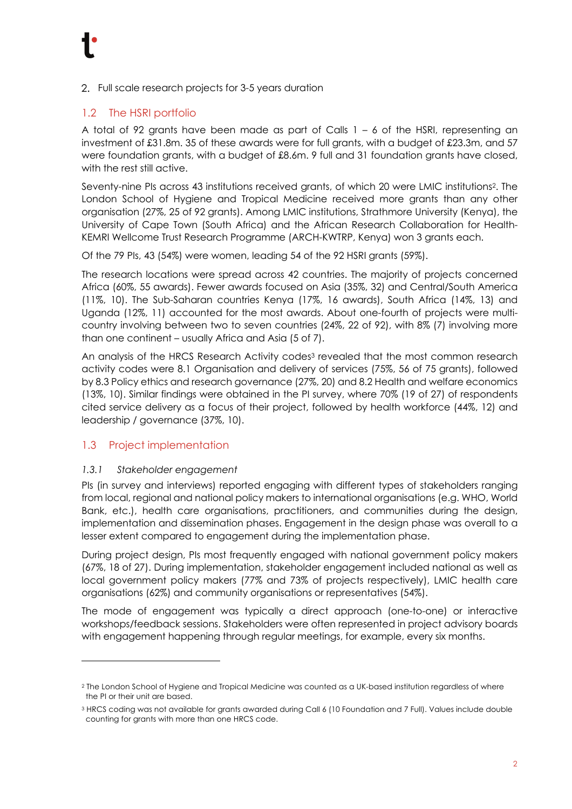2. Full scale research projects for 3-5 years duration

## 1.2 The HSRI portfolio

A total of 92 grants have been made as part of Calls  $1 - 6$  of the HSRI, representing an investment of £31.8m. 35 of these awards were for full grants, with a budget of £23.3m, and 57 were foundation grants, with a budget of £8.6m. 9 full and 31 foundation grants have closed, with the rest still active.

Seventy-nine PIs across 43 institutions received grants, of which 20 were LMIC institutions<sup>2</sup>. The London School of Hygiene and Tropical Medicine received more grants than any other organisation (27%, 25 of 92 grants). Among LMIC institutions, Strathmore University (Kenya), the University of Cape Town (South Africa) and the African Research Collaboration for Health-KEMRI Wellcome Trust Research Programme (ARCH-KWTRP, Kenya) won 3 grants each.

Of the 79 PIs, 43 (54%) were women, leading 54 of the 92 HSRI grants (59%).

The research locations were spread across 42 countries. The majority of projects concerned Africa (60%, 55 awards). Fewer awards focused on Asia (35%, 32) and Central/South America (11%, 10). The Sub-Saharan countries Kenya (17%, 16 awards), South Africa (14%, 13) and Uganda (12%, 11) accounted for the most awards. About one-fourth of projects were multicountry involving between two to seven countries (24%, 22 of 92), with 8% (7) involving more than one continent – usually Africa and Asia (5 of 7).

An analysis of the HRCS Research Activity codes<sup>3</sup> revealed that the most common research activity codes were 8.1 Organisation and delivery of services (75%, 56 of 75 grants), followed by 8.3 Policy ethics and research governance (27%, 20) and 8.2 Health and welfare economics (13%, 10). Similar findings were obtained in the PI survey, where 70% (19 of 27) of respondents cited service delivery as a focus of their project, followed by health workforce (44%, 12) and leadership / governance (37%, 10).

#### 1.3 Project implementation

#### *1.3.1 Stakeholder engagement*

PIs (in survey and interviews) reported engaging with different types of stakeholders ranging from local, regional and national policy makers to international organisations (e.g. WHO, World Bank, etc.), health care organisations, practitioners, and communities during the design, implementation and dissemination phases. Engagement in the design phase was overall to a lesser extent compared to engagement during the implementation phase.

During project design, PIs most frequently engaged with national government policy makers (67%, 18 of 27). During implementation, stakeholder engagement included national as well as local government policy makers (77% and 73% of projects respectively), LMIC health care organisations (62%) and community organisations or representatives (54%).

The mode of engagement was typically a direct approach (one-to-one) or interactive workshops/feedback sessions. Stakeholders were often represented in project advisory boards with engagement happening through regular meetings, for example, every six months.

<sup>2</sup> The London School of Hygiene and Tropical Medicine was counted as a UK-based institution regardless of where the PI or their unit are based.

<sup>3</sup> HRCS coding was not available for grants awarded during Call 6 (10 Foundation and 7 Full). Values include double counting for grants with more than one HRCS code.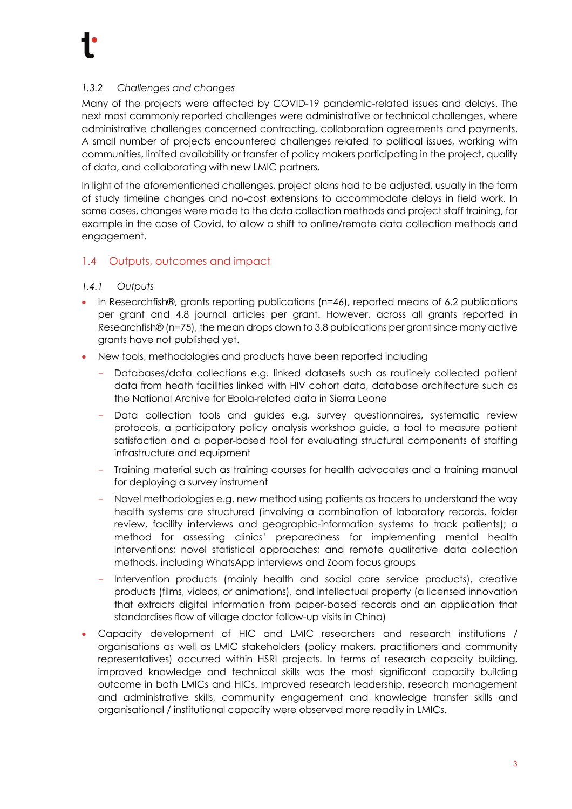### *1.3.2 Challenges and changes*

Many of the projects were affected by COVID-19 pandemic-related issues and delays. The next most commonly reported challenges were administrative or technical challenges, where administrative challenges concerned contracting, collaboration agreements and payments. A small number of projects encountered challenges related to political issues, working with communities, limited availability or transfer of policy makers participating in the project, quality of data, and collaborating with new LMIC partners.

In light of the aforementioned challenges, project plans had to be adjusted, usually in the form of study timeline changes and no-cost extensions to accommodate delays in field work. In some cases, changes were made to the data collection methods and project staff training, for example in the case of Covid, to allow a shift to online/remote data collection methods and engagement.

## 1.4 Outputs, outcomes and impact

#### *1.4.1 Outputs*

- In Researchfish®, grants reporting publications (n=46), reported means of 6.2 publications per grant and 4.8 journal articles per grant. However, across all grants reported in Researchfish® (n=75), the mean drops down to 3.8 publications per grant since many active grants have not published yet.
- New tools, methodologies and products have been reported including
	- Databases/data collections e.g. linked datasets such as routinely collected patient data from heath facilities linked with HIV cohort data, database architecture such as the National Archive for Ebola-related data in Sierra Leone
	- Data collection tools and guides e.g. survey questionnaires, systematic review protocols, a participatory policy analysis workshop guide, a tool to measure patient satisfaction and a paper-based tool for evaluating structural components of staffing infrastructure and equipment
	- Training material such as training courses for health advocates and a training manual for deploying a survey instrument
	- Novel methodologies e.g. new method using patients as tracers to understand the way health systems are structured (involving a combination of laboratory records, folder review, facility interviews and geographic-information systems to track patients); a method for assessing clinics' preparedness for implementing mental health interventions; novel statistical approaches; and remote qualitative data collection methods, including WhatsApp interviews and Zoom focus groups
	- Intervention products (mainly health and social care service products), creative products (films, videos, or animations), and intellectual property (a licensed innovation that extracts digital information from paper-based records and an application that standardises flow of village doctor follow-up visits in China)
- Capacity development of HIC and LMIC researchers and research institutions / organisations as well as LMIC stakeholders (policy makers, practitioners and community representatives) occurred within HSRI projects. In terms of research capacity building, improved knowledge and technical skills was the most significant capacity building outcome in both LMICs and HICs. Improved research leadership, research management and administrative skills, community engagement and knowledge transfer skills and organisational / institutional capacity were observed more readily in LMICs.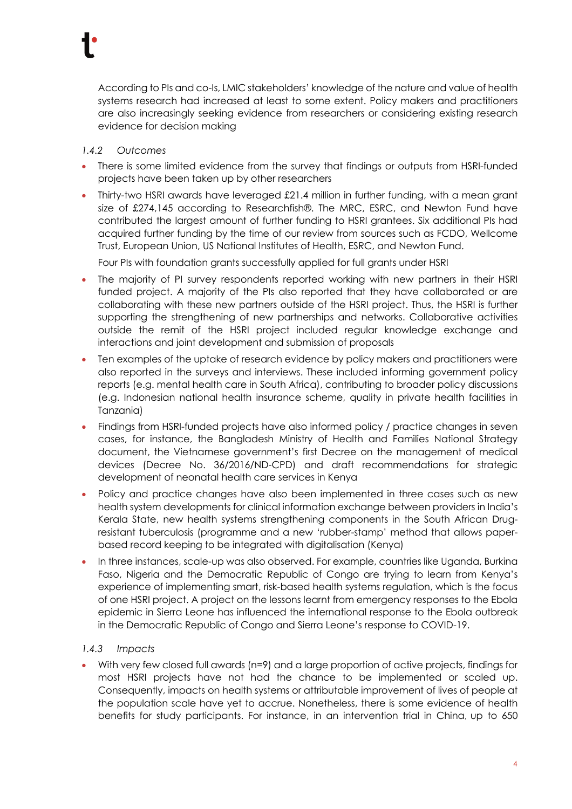

#### *1.4.2 Outcomes*

- There is some limited evidence from the survey that findings or outputs from HSRI-funded projects have been taken up by other researchers
- Thirty-two HSRI awards have leveraged £21.4 million in further funding, with a mean grant size of £274,145 according to Researchfish®. The MRC, ESRC, and Newton Fund have contributed the largest amount of further funding to HSRI grantees. Six additional PIs had acquired further funding by the time of our review from sources such as FCDO, Wellcome Trust, European Union, US National Institutes of Health, ESRC, and Newton Fund.

Four PIs with foundation grants successfully applied for full grants under HSRI

- The majority of PI survey respondents reported working with new partners in their HSRI funded project. A majority of the PIs also reported that they have collaborated or are collaborating with these new partners outside of the HSRI project. Thus, the HSRI is further supporting the strengthening of new partnerships and networks. Collaborative activities outside the remit of the HSRI project included regular knowledge exchange and interactions and joint development and submission of proposals
- Ten examples of the uptake of research evidence by policy makers and practitioners were also reported in the surveys and interviews. These included informing government policy reports (e.g. mental health care in South Africa), contributing to broader policy discussions (e.g. Indonesian national health insurance scheme, quality in private health facilities in Tanzania)
- Findings from HSRI-funded projects have also informed policy / practice changes in seven cases, for instance, the Bangladesh Ministry of Health and Families National Strategy document, the Vietnamese government's first Decree on the management of medical devices (Decree No. 36/2016/ND-CPD) and draft recommendations for strategic development of neonatal health care services in Kenya
- Policy and practice changes have also been implemented in three cases such as new health system developments for clinical information exchange between providers in India's Kerala State, new health systems strengthening components in the South African Drugresistant tuberculosis (programme and a new 'rubber-stamp' method that allows paperbased record keeping to be integrated with digitalisation (Kenya)
- In three instances, scale-up was also observed. For example, countries like Uganda, Burkina Faso, Nigeria and the Democratic Republic of Congo are trying to learn from Kenya's experience of implementing smart, risk-based health systems regulation, which is the focus of one HSRI project. A project on the lessons learnt from emergency responses to the Ebola epidemic in Sierra Leone has influenced the international response to the Ebola outbreak in the Democratic Republic of Congo and Sierra Leone's response to COVID-19.

#### *1.4.3 Impacts*

• With very few closed full awards (n=9) and a large proportion of active projects, findings for most HSRI projects have not had the chance to be implemented or scaled up. Consequently, impacts on health systems or attributable improvement of lives of people at the population scale have yet to accrue. Nonetheless, there is some evidence of health benefits for study participants. For instance, in an intervention trial in China, up to 650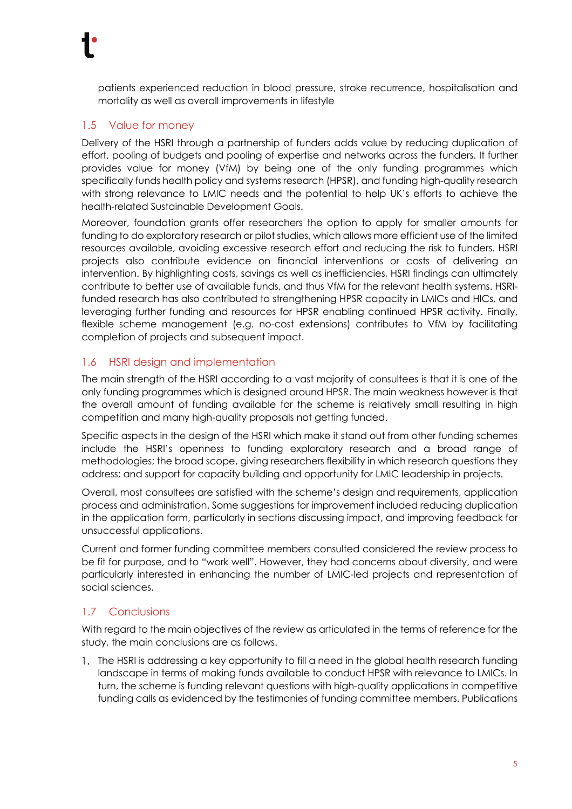patients experienced reduction in blood pressure, stroke recurrence, hospitalisation and mortality as well as overall improvements in lifestyle

## 1.5 Value for money

Delivery of the HSRI through a partnership of funders adds value by reducing duplication of effort, pooling of budgets and pooling of expertise and networks across the funders. It further provides value for money (VfM) by being one of the only funding programmes which specifically funds health policy and systems research (HPSR), and funding high-quality research with strong relevance to LMIC needs and the potential to help UK's efforts to achieve the health-related Sustainable Development Goals.

Moreover, foundation grants offer researchers the option to apply for smaller amounts for funding to do exploratory research or pilot studies, which allows more efficient use of the limited resources available, avoiding excessive research effort and reducing the risk to funders. HSRI projects also contribute evidence on financial interventions or costs of delivering an intervention. By highlighting costs, savings as well as inefficiencies, HSRI findings can ultimately contribute to better use of available funds, and thus VfM for the relevant health systems. HSRIfunded research has also contributed to strengthening HPSR capacity in LMICs and HICs, and leveraging further funding and resources for HPSR enabling continued HPSR activity. Finally, flexible scheme management (e.g. no-cost extensions) contributes to VfM by facilitating completion of projects and subsequent impact.

## 1.6 HSRI design and implementation

The main strength of the HSRI according to a vast majority of consultees is that it is one of the only funding programmes which is designed around HPSR. The main weakness however is that the overall amount of funding available for the scheme is relatively small resulting in high competition and many high-quality proposals not getting funded.

Specific aspects in the design of the HSRI which make it stand out from other funding schemes include the HSRI's openness to funding exploratory research and a broad range of methodologies; the broad scope, giving researchers flexibility in which research questions they address; and support for capacity building and opportunity for LMIC leadership in projects.

Overall, most consultees are satisfied with the scheme's design and requirements, application process and administration. Some suggestions for improvement included reducing duplication in the application form, particularly in sections discussing impact, and improving feedback for unsuccessful applications.

Current and former funding committee members consulted considered the review process to be fit for purpose, and to "work well". However, they had concerns about diversity, and were particularly interested in enhancing the number of LMIC-led projects and representation of social sciences.

## 1.7 Conclusions

With regard to the main objectives of the review as articulated in the terms of reference for the study, the main conclusions are as follows.

1. The HSRI is addressing a key opportunity to fill a need in the global health research funding landscape in terms of making funds available to conduct HPSR with relevance to LMICs. In turn, the scheme is funding relevant questions with high-quality applications in competitive funding calls as evidenced by the testimonies of funding committee members. Publications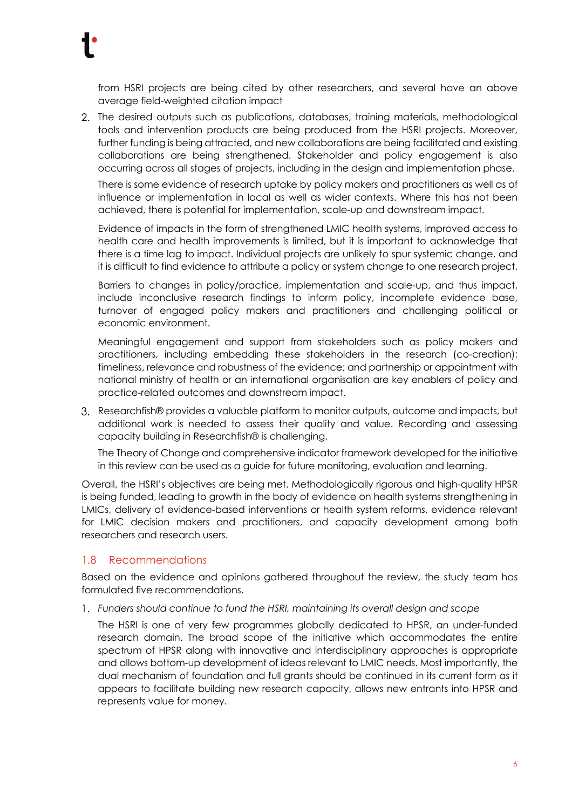from HSRI projects are being cited by other researchers, and several have an above average field-weighted citation impact

2. The desired outputs such as publications, databases, training materials, methodological tools and intervention products are being produced from the HSRI projects. Moreover, further funding is being attracted, and new collaborations are being facilitated and existing collaborations are being strengthened. Stakeholder and policy engagement is also occurring across all stages of projects, including in the design and implementation phase.

There is some evidence of research uptake by policy makers and practitioners as well as of influence or implementation in local as well as wider contexts. Where this has not been achieved, there is potential for implementation, scale-up and downstream impact.

Evidence of impacts in the form of strengthened LMIC health systems, improved access to health care and health improvements is limited, but it is important to acknowledge that there is a time lag to impact. Individual projects are unlikely to spur systemic change, and it is difficult to find evidence to attribute a policy or system change to one research project.

Barriers to changes in policy/practice, implementation and scale-up, and thus impact, include inconclusive research findings to inform policy, incomplete evidence base, turnover of engaged policy makers and practitioners and challenging political or economic environment.

Meaningful engagement and support from stakeholders such as policy makers and practitioners, including embedding these stakeholders in the research (co-creation); timeliness, relevance and robustness of the evidence; and partnership or appointment with national ministry of health or an international organisation are key enablers of policy and practice-related outcomes and downstream impact.

3. Researchfish® provides a valuable platform to monitor outputs, outcome and impacts, but additional work is needed to assess their quality and value. Recording and assessing capacity building in Researchfish® is challenging.

The Theory of Change and comprehensive indicator framework developed for the initiative in this review can be used as a guide for future monitoring, evaluation and learning.

Overall, the HSRI's objectives are being met. Methodologically rigorous and high-quality HPSR is being funded, leading to growth in the body of evidence on health systems strengthening in LMICs, delivery of evidence-based interventions or health system reforms, evidence relevant for LMIC decision makers and practitioners, and capacity development among both researchers and research users.

#### 1.8 Recommendations

Based on the evidence and opinions gathered throughout the review, the study team has formulated five recommendations.

*Funders should continue to fund the HSRI, maintaining its overall design and scope*

The HSRI is one of very few programmes globally dedicated to HPSR, an under-funded research domain. The broad scope of the initiative which accommodates the entire spectrum of HPSR along with innovative and interdisciplinary approaches is appropriate and allows bottom-up development of ideas relevant to LMIC needs. Most importantly, the dual mechanism of foundation and full grants should be continued in its current form as it appears to facilitate building new research capacity, allows new entrants into HPSR and represents value for money.